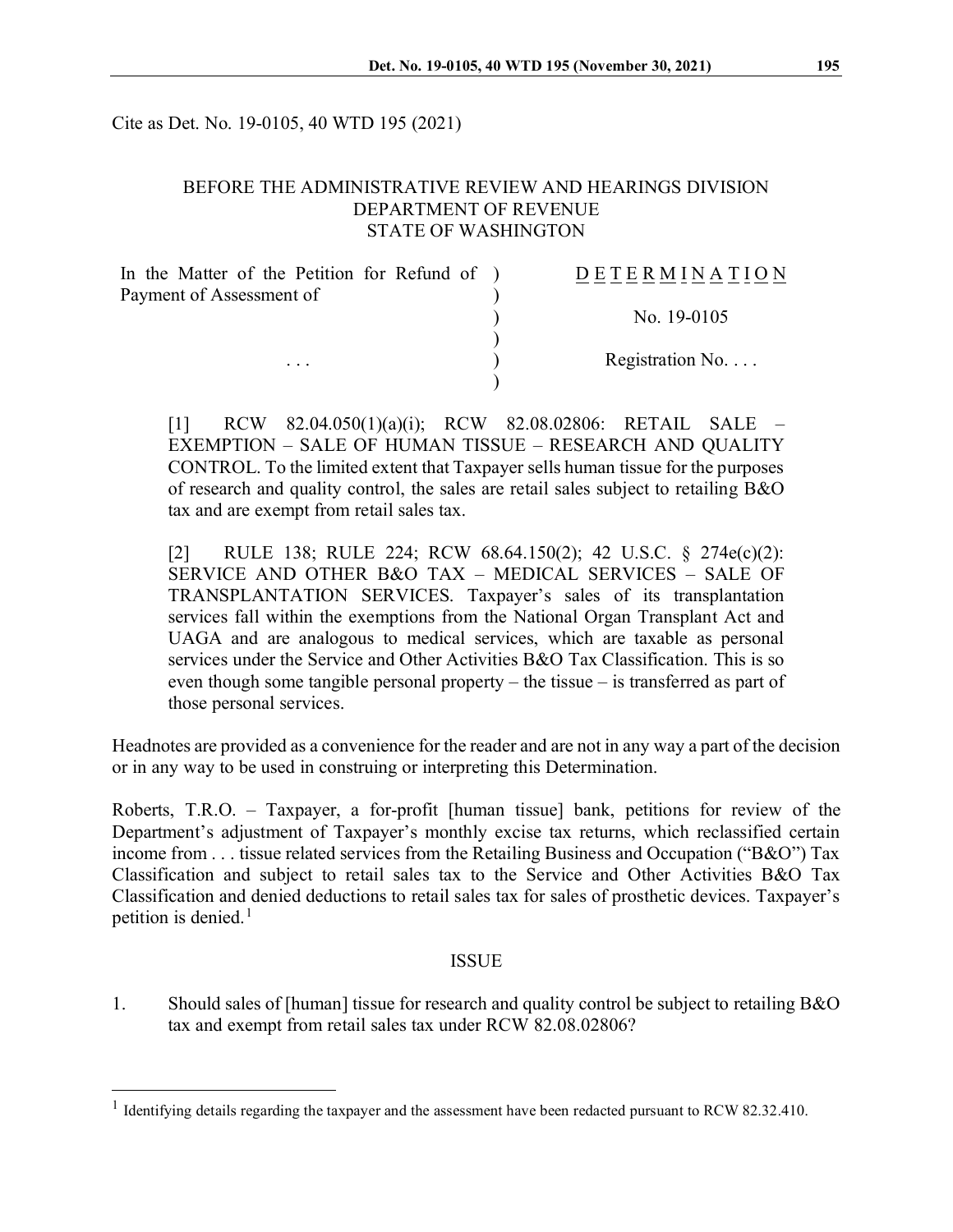Cite as Det. No. 19-0105, 40 WTD 195 (2021)

# BEFORE THE ADMINISTRATIVE REVIEW AND HEARINGS DIVISION DEPARTMENT OF REVENUE STATE OF WASHINGTON

| In the Matter of the Petition for Refund of ) | <b>DETERMINATION</b>     |
|-----------------------------------------------|--------------------------|
| Payment of Assessment of                      |                          |
|                                               | No. $19-0105$            |
|                                               |                          |
| $\cdot$ $\cdot$ $\cdot$                       | Registration No. $\dots$ |
|                                               |                          |

[1] RCW 82.04.050(1)(a)(i); RCW 82.08.02806: RETAIL SALE – EXEMPTION – SALE OF HUMAN TISSUE – RESEARCH AND QUALITY CONTROL. To the limited extent that Taxpayer sells human tissue for the purposes of research and quality control, the sales are retail sales subject to retailing B&O tax and are exempt from retail sales tax.

[2] RULE 138; RULE 224; RCW 68.64.150(2); 42 U.S.C. § 274e(c)(2): SERVICE AND OTHER B&O TAX – MEDICAL SERVICES – SALE OF TRANSPLANTATION SERVICES. Taxpayer's sales of its transplantation services fall within the exemptions from the National Organ Transplant Act and UAGA and are analogous to medical services, which are taxable as personal services under the Service and Other Activities B&O Tax Classification. This is so even though some tangible personal property – the tissue – is transferred as part of those personal services.

Headnotes are provided as a convenience for the reader and are not in any way a part of the decision or in any way to be used in construing or interpreting this Determination.

Roberts, T.R.O. – Taxpayer, a for-profit [human tissue] bank, petitions for review of the Department's adjustment of Taxpayer's monthly excise tax returns, which reclassified certain income from . . . tissue related services from the Retailing Business and Occupation ("B&O") Tax Classification and subject to retail sales tax to the Service and Other Activities B&O Tax Classification and denied deductions to retail sales tax for sales of prosthetic devices. Taxpayer's petition is denied. $<sup>1</sup>$  $<sup>1</sup>$  $<sup>1</sup>$ </sup>

#### ISSUE

1. Should sales of [human] tissue for research and quality control be subject to retailing B&O tax and exempt from retail sales tax under RCW 82.08.02806?

<span id="page-0-0"></span><sup>&</sup>lt;sup>1</sup> Identifying details regarding the taxpayer and the assessment have been redacted pursuant to RCW 82.32.410.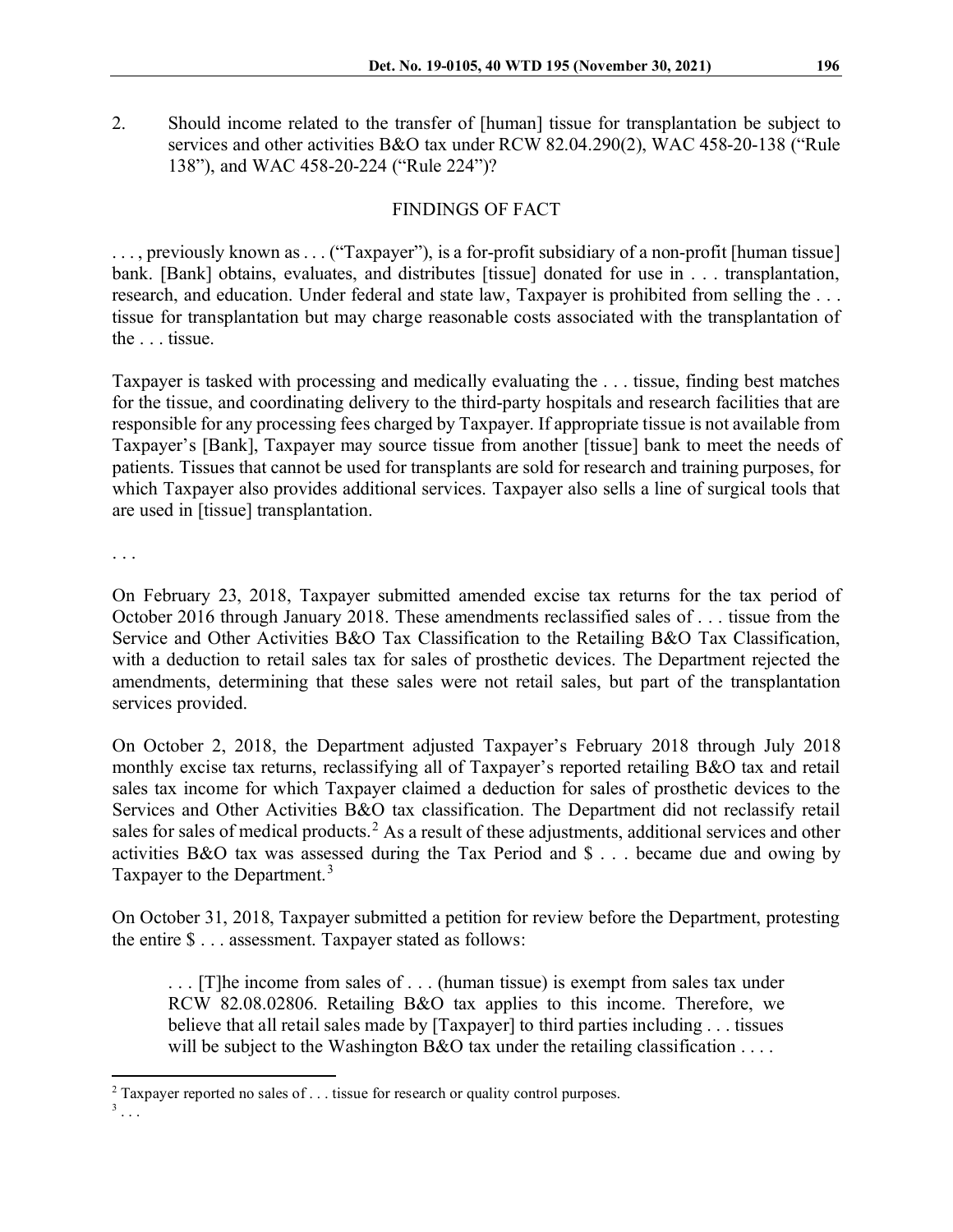2. Should income related to the transfer of [human] tissue for transplantation be subject to services and other activities B&O tax under RCW 82.04.290(2), WAC 458-20-138 ("Rule 138"), and WAC 458-20-224 ("Rule 224")?

# FINDINGS OF FACT

. . . , previously known as . . . ("Taxpayer"), is a for-profit subsidiary of a non-profit [human tissue] bank. [Bank] obtains, evaluates, and distributes [tissue] donated for use in . . . transplantation, research, and education. Under federal and state law, Taxpayer is prohibited from selling the . . . tissue for transplantation but may charge reasonable costs associated with the transplantation of the . . . tissue.

Taxpayer is tasked with processing and medically evaluating the . . . tissue, finding best matches for the tissue, and coordinating delivery to the third-party hospitals and research facilities that are responsible for any processing fees charged by Taxpayer. If appropriate tissue is not available from Taxpayer's [Bank], Taxpayer may source tissue from another [tissue] bank to meet the needs of patients. Tissues that cannot be used for transplants are sold for research and training purposes, for which Taxpayer also provides additional services. Taxpayer also sells a line of surgical tools that are used in [tissue] transplantation.

. . .

On February 23, 2018, Taxpayer submitted amended excise tax returns for the tax period of October 2016 through January 2018. These amendments reclassified sales of . . . tissue from the Service and Other Activities B&O Tax Classification to the Retailing B&O Tax Classification, with a deduction to retail sales tax for sales of prosthetic devices. The Department rejected the amendments, determining that these sales were not retail sales, but part of the transplantation services provided.

On October 2, 2018, the Department adjusted Taxpayer's February 2018 through July 2018 monthly excise tax returns, reclassifying all of Taxpayer's reported retailing B&O tax and retail sales tax income for which Taxpayer claimed a deduction for sales of prosthetic devices to the Services and Other Activities B&O tax classification. The Department did not reclassify retail sales for sales of medical products.<sup>[2](#page-1-0)</sup> As a result of these adjustments, additional services and other activities B&O tax was assessed during the Tax Period and \$ . . . became due and owing by Taxpayer to the Department.<sup>[3](#page-1-1)</sup>

On October 31, 2018, Taxpayer submitted a petition for review before the Department, protesting the entire \$ . . . assessment. Taxpayer stated as follows:

. . . [T]he income from sales of . . . (human tissue) is exempt from sales tax under RCW 82.08.02806. Retailing B&O tax applies to this income. Therefore, we believe that all retail sales made by [Taxpayer] to third parties including . . . tissues will be subject to the Washington B&O tax under the retailing classification  $\dots$ .

<span id="page-1-0"></span> $2$  Taxpayer reported no sales of . . . tissue for research or quality control purposes.

<span id="page-1-1"></span> $3 \ldots$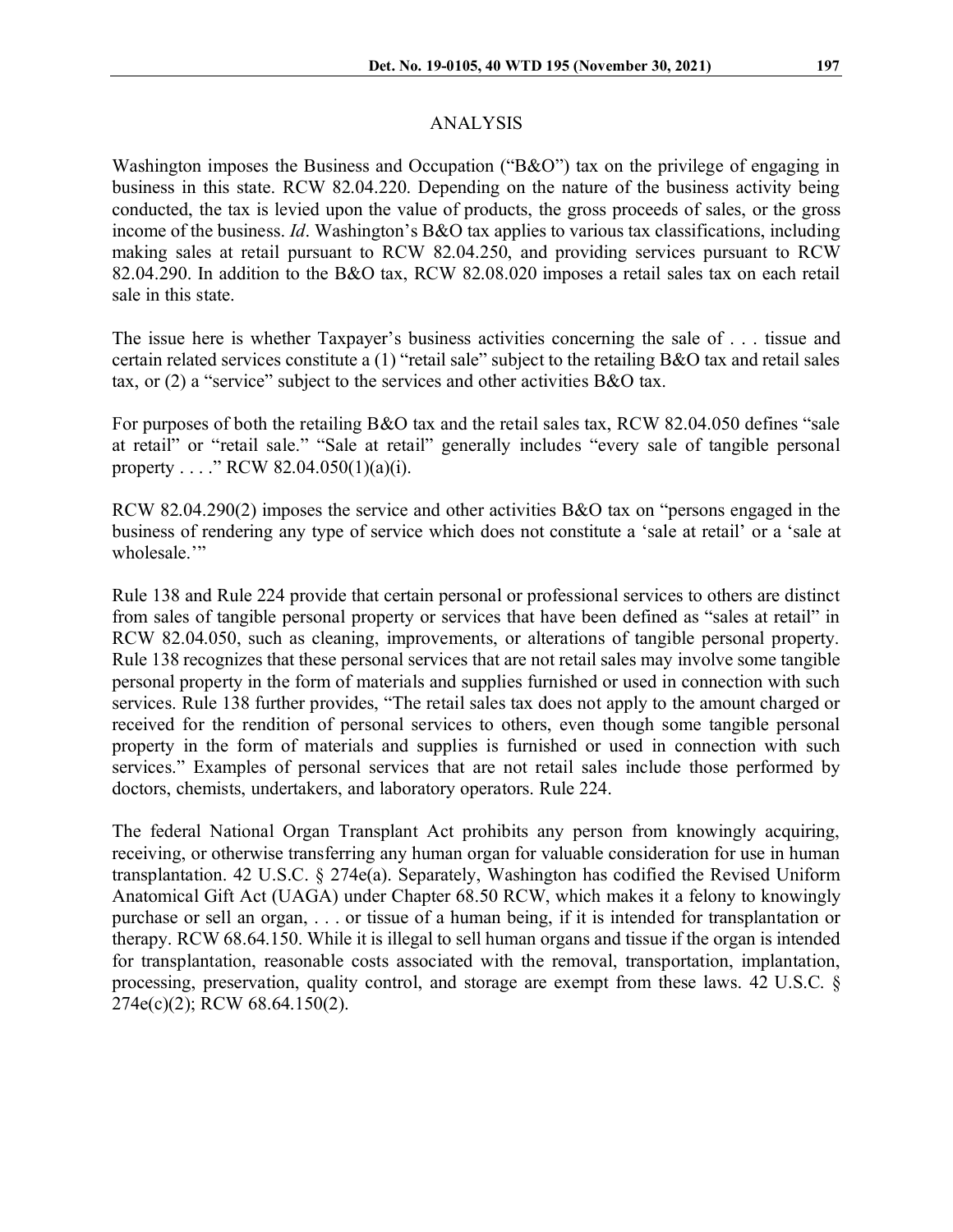#### ANALYSIS

Washington imposes the Business and Occupation ("B&O") tax on the privilege of engaging in business in this state. RCW 82.04.220. Depending on the nature of the business activity being conducted, the tax is levied upon the value of products, the gross proceeds of sales, or the gross income of the business. *Id*. Washington's B&O tax applies to various tax classifications, including making sales at retail pursuant to RCW 82.04.250, and providing services pursuant to RCW 82.04.290. In addition to the B&O tax, RCW 82.08.020 imposes a retail sales tax on each retail sale in this state.

The issue here is whether Taxpayer's business activities concerning the sale of . . . tissue and certain related services constitute a (1) "retail sale" subject to the retailing B&O tax and retail sales tax, or (2) a "service" subject to the services and other activities B&O tax.

For purposes of both the retailing B&O tax and the retail sales tax, RCW 82.04.050 defines "sale at retail" or "retail sale." "Sale at retail" generally includes "every sale of tangible personal property . . . ." RCW 82.04.050(1)(a)(i).

RCW 82.04.290(2) imposes the service and other activities B&O tax on "persons engaged in the business of rendering any type of service which does not constitute a 'sale at retail' or a 'sale at wholesale."

Rule 138 and Rule 224 provide that certain personal or professional services to others are distinct from sales of tangible personal property or services that have been defined as "sales at retail" in RCW 82.04.050, such as cleaning, improvements, or alterations of tangible personal property. Rule 138 recognizes that these personal services that are not retail sales may involve some tangible personal property in the form of materials and supplies furnished or used in connection with such services. Rule 138 further provides, "The retail sales tax does not apply to the amount charged or received for the rendition of personal services to others, even though some tangible personal property in the form of materials and supplies is furnished or used in connection with such services." Examples of personal services that are not retail sales include those performed by doctors, chemists, undertakers, and laboratory operators. Rule 224.

The federal National Organ Transplant Act prohibits any person from knowingly acquiring, receiving, or otherwise transferring any human organ for valuable consideration for use in human transplantation. 42 U.S.C. § 274e(a). Separately, Washington has codified the Revised Uniform Anatomical Gift Act (UAGA) under Chapter 68.50 RCW, which makes it a felony to knowingly purchase or sell an organ, . . . or tissue of a human being, if it is intended for transplantation or therapy. RCW 68.64.150. While it is illegal to sell human organs and tissue if the organ is intended for transplantation, reasonable costs associated with the removal, transportation, implantation, processing, preservation, quality control, and storage are exempt from these laws. 42 U.S.C. § 274e(c)(2); RCW 68.64.150(2).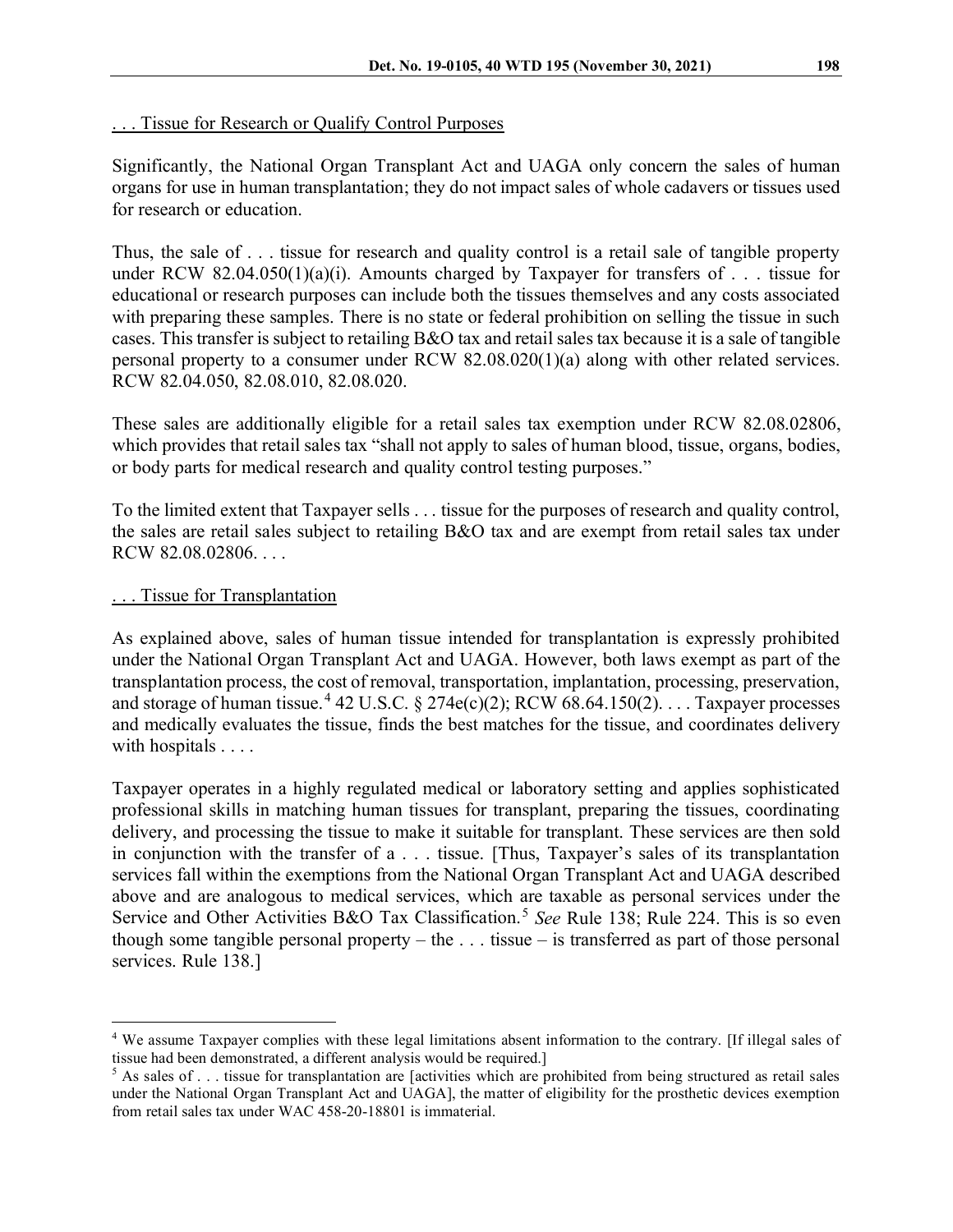# . . . Tissue for Research or Qualify Control Purposes

Significantly, the National Organ Transplant Act and UAGA only concern the sales of human organs for use in human transplantation; they do not impact sales of whole cadavers or tissues used for research or education.

Thus, the sale of . . . tissue for research and quality control is a retail sale of tangible property under RCW 82.04.050(1)(a)(i). Amounts charged by Taxpayer for transfers of . . . tissue for educational or research purposes can include both the tissues themselves and any costs associated with preparing these samples. There is no state or federal prohibition on selling the tissue in such cases. This transfer is subject to retailing B&O tax and retail sales tax because it is a sale of tangible personal property to a consumer under RCW 82.08.020(1)(a) along with other related services. RCW 82.04.050, 82.08.010, 82.08.020.

These sales are additionally eligible for a retail sales tax exemption under RCW 82.08.02806, which provides that retail sales tax "shall not apply to sales of human blood, tissue, organs, bodies, or body parts for medical research and quality control testing purposes."

To the limited extent that Taxpayer sells . . . tissue for the purposes of research and quality control, the sales are retail sales subject to retailing B&O tax and are exempt from retail sales tax under RCW 82.08.02806. . . .

# ... Tissue for Transplantation

As explained above, sales of human tissue intended for transplantation is expressly prohibited under the National Organ Transplant Act and UAGA. However, both laws exempt as part of the transplantation process, the cost of removal, transportation, implantation, processing, preservation, and storage of human tissue.<sup>[4](#page-3-0)</sup> 42 U.S.C. § 274e(c)(2); RCW 68.64.150(2). . . . Taxpayer processes and medically evaluates the tissue, finds the best matches for the tissue, and coordinates delivery with hospitals . . . .

Taxpayer operates in a highly regulated medical or laboratory setting and applies sophisticated professional skills in matching human tissues for transplant, preparing the tissues, coordinating delivery, and processing the tissue to make it suitable for transplant. These services are then sold in conjunction with the transfer of a . . . tissue. [Thus, Taxpayer's sales of its transplantation services fall within the exemptions from the National Organ Transplant Act and UAGA described above and are analogous to medical services, which are taxable as personal services under the Service and Other Activities B&O Tax Classification.<sup>[5](#page-3-1)</sup> See Rule 138; Rule 224. This is so even though some tangible personal property – the  $\dots$  tissue – is transferred as part of those personal services. Rule 138.]

<span id="page-3-0"></span><sup>4</sup> We assume Taxpayer complies with these legal limitations absent information to the contrary. [If illegal sales of tissue had been demonstrated, a different analysis would be required.]

<span id="page-3-1"></span> $5$  As sales of . . . tissue for transplantation are [activities which are prohibited from being structured as retail sales under the National Organ Transplant Act and UAGA], the matter of eligibility for the prosthetic devices exemption from retail sales tax under WAC 458-20-18801 is immaterial.